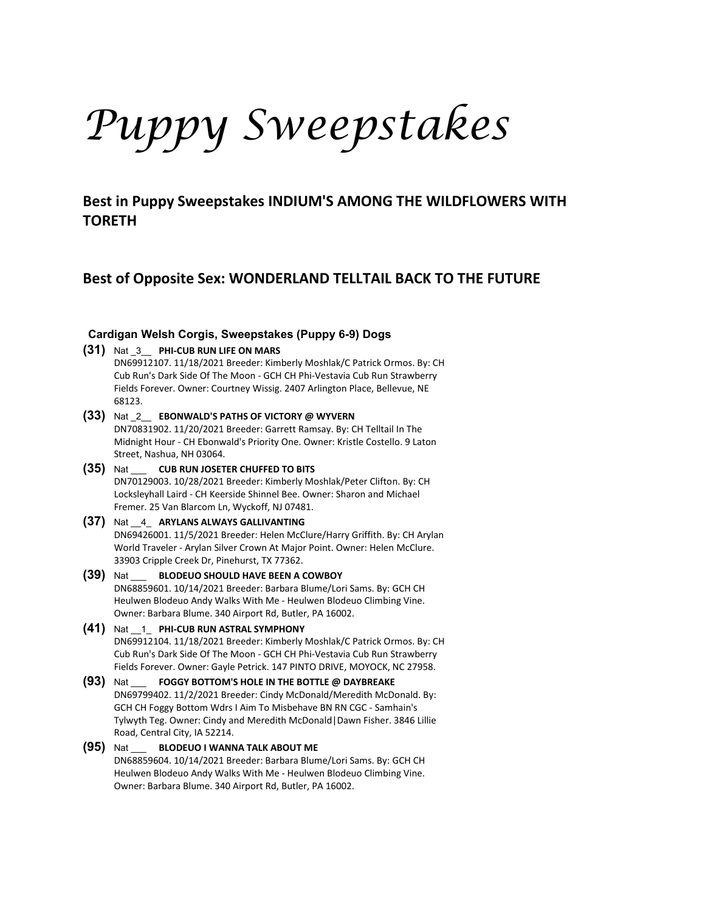# *Puppy Sweepstakes*

**Best in Puppy Sweepstakes INDIUM'S AMONG THE WILDFLOWERS WITH TORETH**

# **Best of Opposite Sex: WONDERLAND TELLTAIL BACK TO THE FUTURE**

# **Cardigan Welsh Corgis, Sweepstakes (Puppy 6-9) Dogs**

**(31)** Nat \_3\_\_ **PHI-CUB RUN LIFE ON MARS**

DN69912107. 11/18/2021 Breeder: Kimberly Moshlak/C Patrick Ormos. By: CH Cub Run's Dark Side Of The Moon - GCH CH Phi-Vestavia Cub Run Strawberry Fields Forever. Owner: Courtney Wissig. 2407 Arlington Place, Bellevue, NE 68123.

- **(33)** Nat \_2\_\_ **EBONWALD'S PATHS OF VICTORY @ WYVERN** DN70831902. 11/20/2021 Breeder: Garrett Ramsay. By: CH Telltail In The Midnight Hour - CH Ebonwald's Priority One. Owner: Kristle Costello. 9 Laton Street, Nashua, NH 03064.
- **(35)** Nat \_\_\_ **CUB RUN JOSETER CHUFFED TO BITS** DN70129003. 10/28/2021 Breeder: Kimberly Moshlak/Peter Clifton. By: CH Locksleyhall Laird - CH Keerside Shinnel Bee. Owner: Sharon and Michael Fremer. 25 Van Blarcom Ln, Wyckoff, NJ 07481.
- **(37)** Nat \_\_4\_ **ARYLANS ALWAYS GALLIVANTING** DN69426001. 11/5/2021 Breeder: Helen McClure/Harry Griffith. By: CH Arylan World Traveler - Arylan Silver Crown At Major Point. Owner: Helen McClure. 33903 Cripple Creek Dr, Pinehurst, TX 77362.
- **(39)** Nat \_\_\_ **BLODEUO SHOULD HAVE BEEN A COWBOY** DN68859601. 10/14/2021 Breeder: Barbara Blume/Lori Sams. By: GCH CH Heulwen Blodeuo Andy Walks With Me - Heulwen Blodeuo Climbing Vine. Owner: Barbara Blume. 340 Airport Rd, Butler, PA 16002.
- **(41)** Nat \_\_1\_ **PHI-CUB RUN ASTRAL SYMPHONY** DN69912104. 11/18/2021 Breeder: Kimberly Moshlak/C Patrick Ormos. By: CH Cub Run's Dark Side Of The Moon - GCH CH Phi-Vestavia Cub Run Strawberry Fields Forever. Owner: Gayle Petrick. 147 PINTO DRIVE, MOYOCK, NC 27958.
- **(93)** Nat \_\_\_ **FOGGY BOTTOM'S HOLE IN THE BOTTLE @ DAYBREAKE** DN69799402. 11/2/2021 Breeder: Cindy McDonald/Meredith McDonald. By: GCH CH Foggy Bottom Wdrs I Aim To Misbehave BN RN CGC - Samhain's Tylwyth Teg. Owner: Cindy and Meredith McDonald|Dawn Fisher. 3846 Lillie Road, Central City, IA 52214.
- **(95)** Nat \_\_\_ **BLODEUO I WANNA TALK ABOUT ME** DN68859604. 10/14/2021 Breeder: Barbara Blume/Lori Sams. By: GCH CH Heulwen Blodeuo Andy Walks With Me - Heulwen Blodeuo Climbing Vine. Owner: Barbara Blume. 340 Airport Rd, Butler, PA 16002.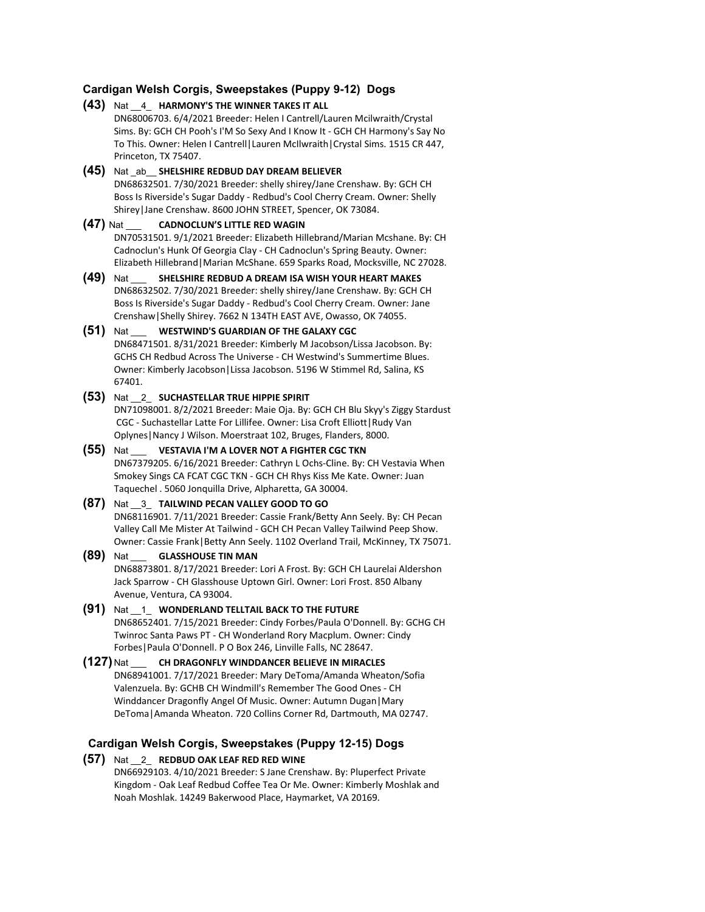# **Cardigan Welsh Corgis, Sweepstakes (Puppy 9-12) Dogs**

# **(43)** Nat \_\_4\_ **HARMONY'S THE WINNER TAKES IT ALL**

DN68006703. 6/4/2021 Breeder: Helen I Cantrell/Lauren Mcilwraith/Crystal Sims. By: GCH CH Pooh's I'M So Sexy And I Know It - GCH CH Harmony's Say No To This. Owner: Helen I Cantrell|Lauren McIlwraith|Crystal Sims. 1515 CR 447, Princeton, TX 75407.

**(45)** Nat \_ab\_\_ **SHELSHIRE REDBUD DAY DREAM BELIEVER** DN68632501. 7/30/2021 Breeder: shelly shirey/Jane Crenshaw. By: GCH CH Boss Is Riverside's Sugar Daddy - Redbud's Cool Cherry Cream. Owner: Shelly Shirey|Jane Crenshaw. 8600 JOHN STREET, Spencer, OK 73084.

#### **(47)** Nat \_\_\_ **CADNOCLUN'S LITTLE RED WAGIN**

DN70531501. 9/1/2021 Breeder: Elizabeth Hillebrand/Marian Mcshane. By: CH Cadnoclun's Hunk Of Georgia Clay - CH Cadnoclun's Spring Beauty. Owner: Elizabeth Hillebrand|Marian McShane. 659 Sparks Road, Mocksville, NC 27028.

**(49)** Nat \_\_\_ **SHELSHIRE REDBUD A DREAM ISA WISH YOUR HEART MAKES** DN68632502. 7/30/2021 Breeder: shelly shirey/Jane Crenshaw. By: GCH CH Boss Is Riverside's Sugar Daddy - Redbud's Cool Cherry Cream. Owner: Jane Crenshaw|Shelly Shirey. 7662 N 134TH EAST AVE, Owasso, OK 74055.

# **(51)** Nat \_\_\_ **WESTWIND'S GUARDIAN OF THE GALAXY CGC**

DN68471501. 8/31/2021 Breeder: Kimberly M Jacobson/Lissa Jacobson. By: GCHS CH Redbud Across The Universe - CH Westwind's Summertime Blues. Owner: Kimberly Jacobson|Lissa Jacobson. 5196 W Stimmel Rd, Salina, KS 67401.

## **(53)** Nat \_\_2\_ **SUCHASTELLAR TRUE HIPPIE SPIRIT**

DN71098001. 8/2/2021 Breeder: Maie Oja. By: GCH CH Blu Skyy's Ziggy Stardust CGC - Suchastellar Latte For Lillifee. Owner: Lisa Croft Elliott|Rudy Van Oplynes|Nancy J Wilson. Moerstraat 102, Bruges, Flanders, 8000.

## **(55)** Nat \_\_\_ **VESTAVIA I'M A LOVER NOT A FIGHTER CGC TKN**

DN67379205. 6/16/2021 Breeder: Cathryn L Ochs-Cline. By: CH Vestavia When Smokey Sings CA FCAT CGC TKN - GCH CH Rhys Kiss Me Kate. Owner: Juan Taquechel . 5060 Jonquilla Drive, Alpharetta, GA 30004.

#### **(87)** Nat \_\_3\_ **TAILWIND PECAN VALLEY GOOD TO GO**

DN68116901. 7/11/2021 Breeder: Cassie Frank/Betty Ann Seely. By: CH Pecan Valley Call Me Mister At Tailwind - GCH CH Pecan Valley Tailwind Peep Show. Owner: Cassie Frank|Betty Ann Seely. 1102 Overland Trail, McKinney, TX 75071.

# **(89)** Nat \_\_\_ **GLASSHOUSE TIN MAN**

DN68873801. 8/17/2021 Breeder: Lori A Frost. By: GCH CH Laurelai Aldershon Jack Sparrow - CH Glasshouse Uptown Girl. Owner: Lori Frost. 850 Albany Avenue, Ventura, CA 93004.

#### **(91)** Nat \_\_1\_ **WONDERLAND TELLTAIL BACK TO THE FUTURE** DN68652401. 7/15/2021 Breeder: Cindy Forbes/Paula O'Donnell. By: GCHG CH Twinroc Santa Paws PT - CH Wonderland Rory Macplum. Owner: Cindy Forbes|Paula O'Donnell. P O Box 246, Linville Falls, NC 28647.

# **(127)** Nat \_\_\_ **CH DRAGONFLY WINDDANCER BELIEVE IN MIRACLES** DN68941001. 7/17/2021 Breeder: Mary DeToma/Amanda Wheaton/Sofia Valenzuela. By: GCHB CH Windmill's Remember The Good Ones - CH

Winddancer Dragonfly Angel Of Music. Owner: Autumn Dugan|Mary DeToma|Amanda Wheaton. 720 Collins Corner Rd, Dartmouth, MA 02747.

# **Cardigan Welsh Corgis, Sweepstakes (Puppy 12-15) Dogs**

#### **(57)** Nat \_\_2\_ **REDBUD OAK LEAF RED RED WINE** DN66929103. 4/10/2021 Breeder: S Jane Crenshaw. By: Pluperfect Private

Kingdom - Oak Leaf Redbud Coffee Tea Or Me. Owner: Kimberly Moshlak and Noah Moshlak. 14249 Bakerwood Place, Haymarket, VA 20169.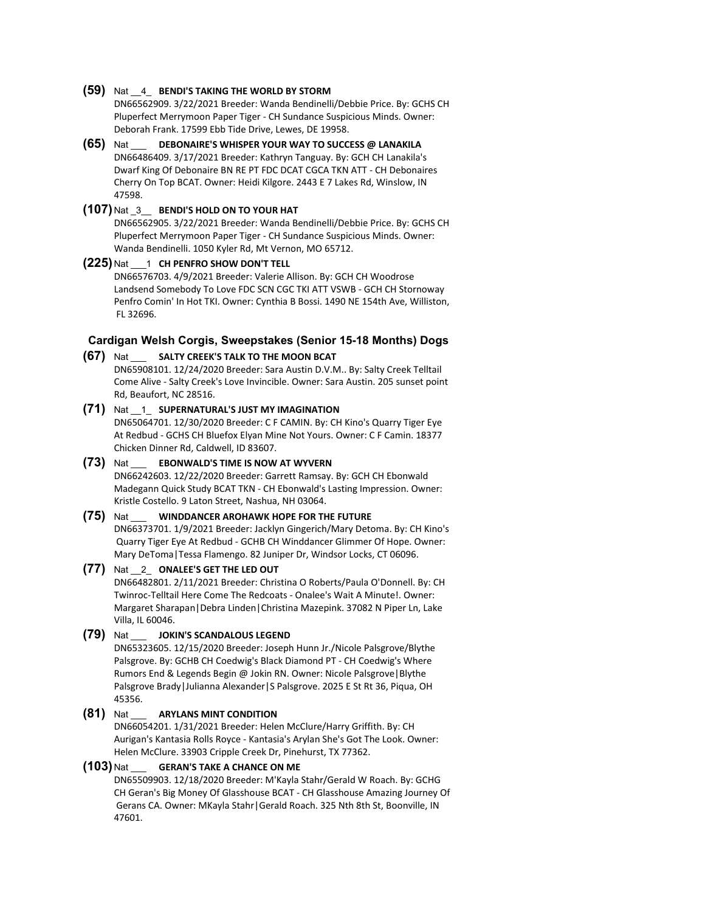#### **(59)** Nat \_\_4\_ **BENDI'S TAKING THE WORLD BY STORM**

DN66562909. 3/22/2021 Breeder: Wanda Bendinelli/Debbie Price. By: GCHS CH Pluperfect Merrymoon Paper Tiger - CH Sundance Suspicious Minds. Owner: Deborah Frank. 17599 Ebb Tide Drive, Lewes, DE 19958.

**(65)** Nat \_\_\_ **DEBONAIRE'S WHISPER YOUR WAY TO SUCCESS @ LANAKILA** DN66486409. 3/17/2021 Breeder: Kathryn Tanguay. By: GCH CH Lanakila's Dwarf King Of Debonaire BN RE PT FDC DCAT CGCA TKN ATT - CH Debonaires Cherry On Top BCAT. Owner: Heidi Kilgore. 2443 E 7 Lakes Rd, Winslow, IN 47598.

#### **(107)** Nat \_3\_\_ **BENDI'S HOLD ON TO YOUR HAT**

DN66562905. 3/22/2021 Breeder: Wanda Bendinelli/Debbie Price. By: GCHS CH Pluperfect Merrymoon Paper Tiger - CH Sundance Suspicious Minds. Owner: Wanda Bendinelli. 1050 Kyler Rd, Mt Vernon, MO 65712.

#### **(225)** Nat \_\_\_1 **CH PENFRO SHOW DON'T TELL**

DN66576703. 4/9/2021 Breeder: Valerie Allison. By: GCH CH Woodrose Landsend Somebody To Love FDC SCN CGC TKI ATT VSWB - GCH CH Stornoway Penfro Comin' In Hot TKI. Owner: Cynthia B Bossi. 1490 NE 154th Ave, Williston, FL 32696.

# **Cardigan Welsh Corgis, Sweepstakes (Senior 15-18 Months) Dogs**

#### **(67)** Nat \_\_\_ **SALTY CREEK'S TALK TO THE MOON BCAT**

DN65908101. 12/24/2020 Breeder: Sara Austin D.V.M.. By: Salty Creek Telltail Come Alive - Salty Creek's Love Invincible. Owner: Sara Austin. 205 sunset point Rd, Beaufort, NC 28516.

#### **(71)** Nat \_\_1\_ **SUPERNATURAL'S JUST MY IMAGINATION**

DN65064701. 12/30/2020 Breeder: C F CAMIN. By: CH Kino's Quarry Tiger Eye At Redbud - GCHS CH Bluefox Elyan Mine Not Yours. Owner: C F Camin. 18377 Chicken Dinner Rd, Caldwell, ID 83607.

# **(73)** Nat \_\_\_ **EBONWALD'S TIME IS NOW AT WYVERN**

DN66242603. 12/22/2020 Breeder: Garrett Ramsay. By: GCH CH Ebonwald Madegann Quick Study BCAT TKN - CH Ebonwald's Lasting Impression. Owner: Kristle Costello. 9 Laton Street, Nashua, NH 03064.

## **(75)** Nat \_\_\_ **WINDDANCER AROHAWK HOPE FOR THE FUTURE**

DN66373701. 1/9/2021 Breeder: Jacklyn Gingerich/Mary Detoma. By: CH Kino's Quarry Tiger Eye At Redbud - GCHB CH Winddancer Glimmer Of Hope. Owner: Mary DeToma|Tessa Flamengo. 82 Juniper Dr, Windsor Locks, CT 06096.

# **(77)** Nat \_\_2\_ **ONALEE'S GET THE LED OUT**

DN66482801. 2/11/2021 Breeder: Christina O Roberts/Paula O'Donnell. By: CH Twinroc-Telltail Here Come The Redcoats - Onalee's Wait A Minute!. Owner: Margaret Sharapan|Debra Linden|Christina Mazepink. 37082 N Piper Ln, Lake Villa, IL 60046.

#### **(79)** Nat \_\_\_ **JOKIN'S SCANDALOUS LEGEND**

DN65323605. 12/15/2020 Breeder: Joseph Hunn Jr./Nicole Palsgrove/Blythe Palsgrove. By: GCHB CH Coedwig's Black Diamond PT - CH Coedwig's Where Rumors End & Legends Begin @ Jokin RN. Owner: Nicole Palsgrove|Blythe Palsgrove Brady|Julianna Alexander|S Palsgrove. 2025 E St Rt 36, Piqua, OH 45356.

#### **(81)** Nat \_\_\_ **ARYLANS MINT CONDITION**

DN66054201. 1/31/2021 Breeder: Helen McClure/Harry Griffith. By: CH Aurigan's Kantasia Rolls Royce - Kantasia's Arylan She's Got The Look. Owner: Helen McClure. 33903 Cripple Creek Dr, Pinehurst, TX 77362.

#### **(103)** Nat \_\_\_ **GERAN'S TAKE A CHANCE ON ME**

DN65509903. 12/18/2020 Breeder: M'Kayla Stahr/Gerald W Roach. By: GCHG CH Geran's Big Money Of Glasshouse BCAT - CH Glasshouse Amazing Journey Of Gerans CA. Owner: MKayla Stahr|Gerald Roach. 325 Nth 8th St, Boonville, IN 47601.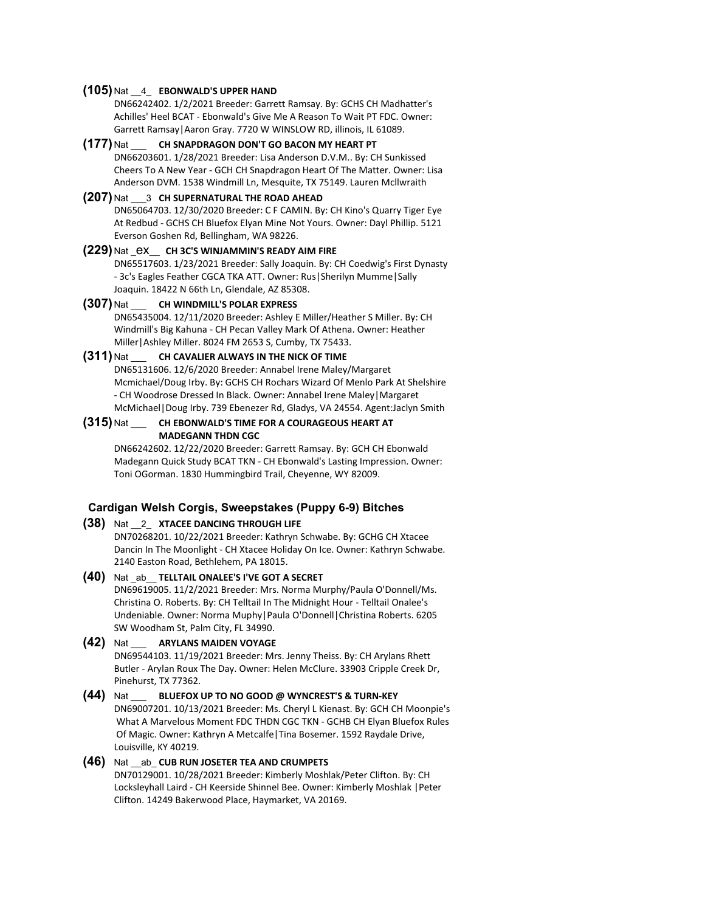#### **(105)** Nat \_\_4\_ **EBONWALD'S UPPER HAND**

DN66242402. 1/2/2021 Breeder: Garrett Ramsay. By: GCHS CH Madhatter's Achilles' Heel BCAT - Ebonwald's Give Me A Reason To Wait PT FDC. Owner: Garrett Ramsay|Aaron Gray. 7720 W WINSLOW RD, illinois, IL 61089.

**(177)** Nat \_\_\_ **CH SNAPDRAGON DON'T GO BACON MY HEART PT** DN66203601. 1/28/2021 Breeder: Lisa Anderson D.V.M.. By: CH Sunkissed Cheers To A New Year - GCH CH Snapdragon Heart Of The Matter. Owner: Lisa Anderson DVM. 1538 Windmill Ln, Mesquite, TX 75149. Lauren Mcllwraith

#### **(207)** Nat \_\_\_3 **CH SUPERNATURAL THE ROAD AHEAD**

DN65064703. 12/30/2020 Breeder: C F CAMIN. By: CH Kino's Quarry Tiger Eye At Redbud - GCHS CH Bluefox Elyan Mine Not Yours. Owner: Dayl Phillip. 5121 Everson Goshen Rd, Bellingham, WA 98226.

#### **(229)** Nat \_ex\_\_ **CH 3C'S WINJAMMIN'S READY AIM FIRE**

DN65517603. 1/23/2021 Breeder: Sally Joaquin. By: CH Coedwig's First Dynasty - 3c's Eagles Feather CGCA TKA ATT. Owner: Rus|Sherilyn Mumme|Sally Joaquin. 18422 N 66th Ln, Glendale, AZ 85308.

#### **(307)** Nat \_\_\_ **CH WINDMILL'S POLAR EXPRESS**

DN65435004. 12/11/2020 Breeder: Ashley E Miller/Heather S Miller. By: CH Windmill's Big Kahuna - CH Pecan Valley Mark Of Athena. Owner: Heather Miller|Ashley Miller. 8024 FM 2653 S, Cumby, TX 75433.

#### **(311)** Nat \_\_\_ **CH CAVALIER ALWAYS IN THE NICK OF TIME**

DN65131606. 12/6/2020 Breeder: Annabel Irene Maley/Margaret Mcmichael/Doug Irby. By: GCHS CH Rochars Wizard Of Menlo Park At Shelshire - CH Woodrose Dressed In Black. Owner: Annabel Irene Maley|Margaret McMichael|Doug Irby. 739 Ebenezer Rd, Gladys, VA 24554. Agent:Jaclyn Smith

#### **(315)** Nat \_\_\_ **CH EBONWALD'S TIME FOR A COURAGEOUS HEART AT MADEGANN THDN CGC**

DN66242602. 12/22/2020 Breeder: Garrett Ramsay. By: GCH CH Ebonwald Madegann Quick Study BCAT TKN - CH Ebonwald's Lasting Impression. Owner: Toni OGorman. 1830 Hummingbird Trail, Cheyenne, WY 82009.

# **Cardigan Welsh Corgis, Sweepstakes (Puppy 6-9) Bitches**

# **(38)** Nat \_\_2\_ **XTACEE DANCING THROUGH LIFE**

DN70268201. 10/22/2021 Breeder: Kathryn Schwabe. By: GCHG CH Xtacee Dancin In The Moonlight - CH Xtacee Holiday On Ice. Owner: Kathryn Schwabe. 2140 Easton Road, Bethlehem, PA 18015.

- **(40)** Nat \_ab\_\_ **TELLTAIL ONALEE'S I'VE GOT A SECRET** DN69619005. 11/2/2021 Breeder: Mrs. Norma Murphy/Paula O'Donnell/Ms. Christina O. Roberts. By: CH Telltail In The Midnight Hour - Telltail Onalee's Undeniable. Owner: Norma Muphy|Paula O'Donnell|Christina Roberts. 6205 SW Woodham St, Palm City, FL 34990.
- **(42)** Nat \_\_\_ **ARYLANS MAIDEN VOYAGE** DN69544103. 11/19/2021 Breeder: Mrs. Jenny Theiss. By: CH Arylans Rhett Butler - Arylan Roux The Day. Owner: Helen McClure. 33903 Cripple Creek Dr, Pinehurst, TX 77362.
- **(44)** Nat \_\_\_ **BLUEFOX UP TO NO GOOD @ WYNCREST'S & TURN-KEY** DN69007201. 10/13/2021 Breeder: Ms. Cheryl L Kienast. By: GCH CH Moonpie's What A Marvelous Moment FDC THDN CGC TKN - GCHB CH Elyan Bluefox Rules Of Magic. Owner: Kathryn A Metcalfe|Tina Bosemer. 1592 Raydale Drive, Louisville, KY 40219.

# **(46)** Nat \_\_ab\_ **CUB RUN JOSETER TEA AND CRUMPETS**

DN70129001. 10/28/2021 Breeder: Kimberly Moshlak/Peter Clifton. By: CH Locksleyhall Laird - CH Keerside Shinnel Bee. Owner: Kimberly Moshlak |Peter Clifton. 14249 Bakerwood Place, Haymarket, VA 20169.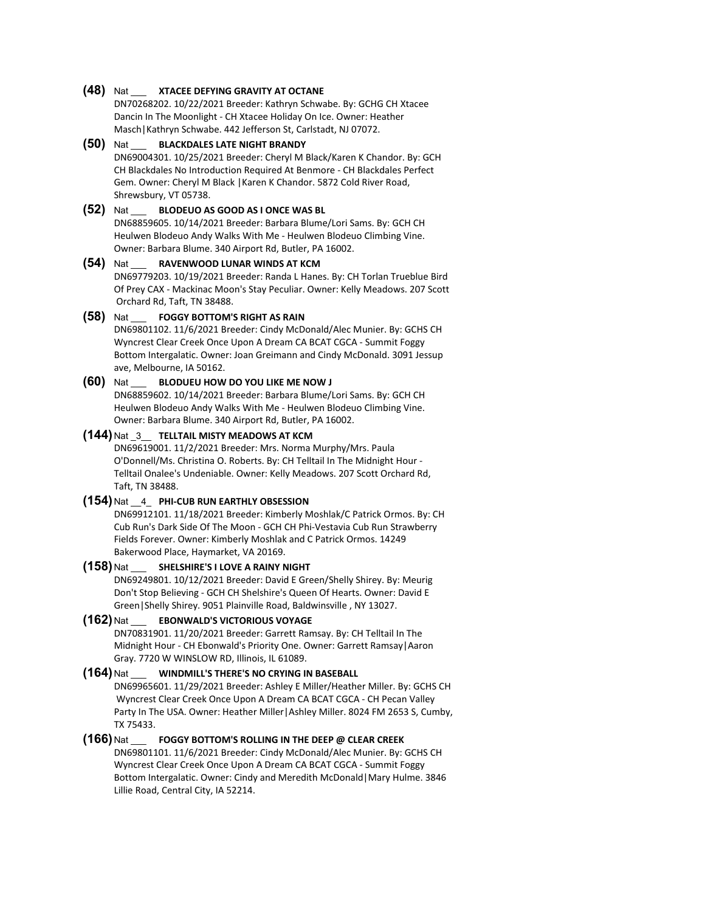#### **(48)** Nat \_\_\_ **XTACEE DEFYING GRAVITY AT OCTANE**

DN70268202. 10/22/2021 Breeder: Kathryn Schwabe. By: GCHG CH Xtacee Dancin In The Moonlight - CH Xtacee Holiday On Ice. Owner: Heather Masch|Kathryn Schwabe. 442 Jefferson St, Carlstadt, NJ 07072.

#### **(50)** Nat \_\_\_ **BLACKDALES LATE NIGHT BRANDY** DN69004301. 10/25/2021 Breeder: Cheryl M Black/Karen K Chandor. By: GCH CH Blackdales No Introduction Required At Benmore - CH Blackdales Perfect Gem. Owner: Cheryl M Black |Karen K Chandor. 5872 Cold River Road, Shrewsbury, VT 05738.

#### **(52)** Nat \_\_\_ **BLODEUO AS GOOD AS I ONCE WAS BL**

DN68859605. 10/14/2021 Breeder: Barbara Blume/Lori Sams. By: GCH CH Heulwen Blodeuo Andy Walks With Me - Heulwen Blodeuo Climbing Vine. Owner: Barbara Blume. 340 Airport Rd, Butler, PA 16002.

#### **(54)** Nat \_\_\_ **RAVENWOOD LUNAR WINDS AT KCM**

DN69779203. 10/19/2021 Breeder: Randa L Hanes. By: CH Torlan Trueblue Bird Of Prey CAX - Mackinac Moon's Stay Peculiar. Owner: Kelly Meadows. 207 Scott Orchard Rd, Taft, TN 38488.

# **(58)** Nat \_\_\_ **FOGGY BOTTOM'S RIGHT AS RAIN**

DN69801102. 11/6/2021 Breeder: Cindy McDonald/Alec Munier. By: GCHS CH Wyncrest Clear Creek Once Upon A Dream CA BCAT CGCA - Summit Foggy Bottom Intergalatic. Owner: Joan Greimann and Cindy McDonald. 3091 Jessup ave, Melbourne, IA 50162.

# **(60)** Nat \_\_\_ **BLODUEU HOW DO YOU LIKE ME NOW J**

DN68859602. 10/14/2021 Breeder: Barbara Blume/Lori Sams. By: GCH CH Heulwen Blodeuo Andy Walks With Me - Heulwen Blodeuo Climbing Vine. Owner: Barbara Blume. 340 Airport Rd, Butler, PA 16002.

#### **(144)** Nat \_3\_\_ **TELLTAIL MISTY MEADOWS AT KCM**

DN69619001. 11/2/2021 Breeder: Mrs. Norma Murphy/Mrs. Paula O'Donnell/Ms. Christina O. Roberts. By: CH Telltail In The Midnight Hour - Telltail Onalee's Undeniable. Owner: Kelly Meadows. 207 Scott Orchard Rd, Taft, TN 38488.

#### **(154)** Nat \_\_4\_ **PHI-CUB RUN EARTHLY OBSESSION**

DN69912101. 11/18/2021 Breeder: Kimberly Moshlak/C Patrick Ormos. By: CH Cub Run's Dark Side Of The Moon - GCH CH Phi-Vestavia Cub Run Strawberry Fields Forever. Owner: Kimberly Moshlak and C Patrick Ormos. 14249 Bakerwood Place, Haymarket, VA 20169.

#### **(158)** Nat \_\_\_ **SHELSHIRE'S I LOVE A RAINY NIGHT**

DN69249801. 10/12/2021 Breeder: David E Green/Shelly Shirey. By: Meurig Don't Stop Believing - GCH CH Shelshire's Queen Of Hearts. Owner: David E Green|Shelly Shirey. 9051 Plainville Road, Baldwinsville , NY 13027.

#### **(162)** Nat \_\_\_ **EBONWALD'S VICTORIOUS VOYAGE**

DN70831901. 11/20/2021 Breeder: Garrett Ramsay. By: CH Telltail In The Midnight Hour - CH Ebonwald's Priority One. Owner: Garrett Ramsay|Aaron Gray. 7720 W WINSLOW RD, Illinois, IL 61089.

#### **(164)** Nat \_\_\_ **WINDMILL'S THERE'S NO CRYING IN BASEBALL**

DN69965601. 11/29/2021 Breeder: Ashley E Miller/Heather Miller. By: GCHS CH Wyncrest Clear Creek Once Upon A Dream CA BCAT CGCA - CH Pecan Valley Party In The USA. Owner: Heather Miller|Ashley Miller. 8024 FM 2653 S, Cumby, TX 75433.

#### **(166)** Nat \_\_\_ **FOGGY BOTTOM'S ROLLING IN THE DEEP @ CLEAR CREEK**

DN69801101. 11/6/2021 Breeder: Cindy McDonald/Alec Munier. By: GCHS CH Wyncrest Clear Creek Once Upon A Dream CA BCAT CGCA - Summit Foggy Bottom Intergalatic. Owner: Cindy and Meredith McDonald|Mary Hulme. 3846 Lillie Road, Central City, IA 52214.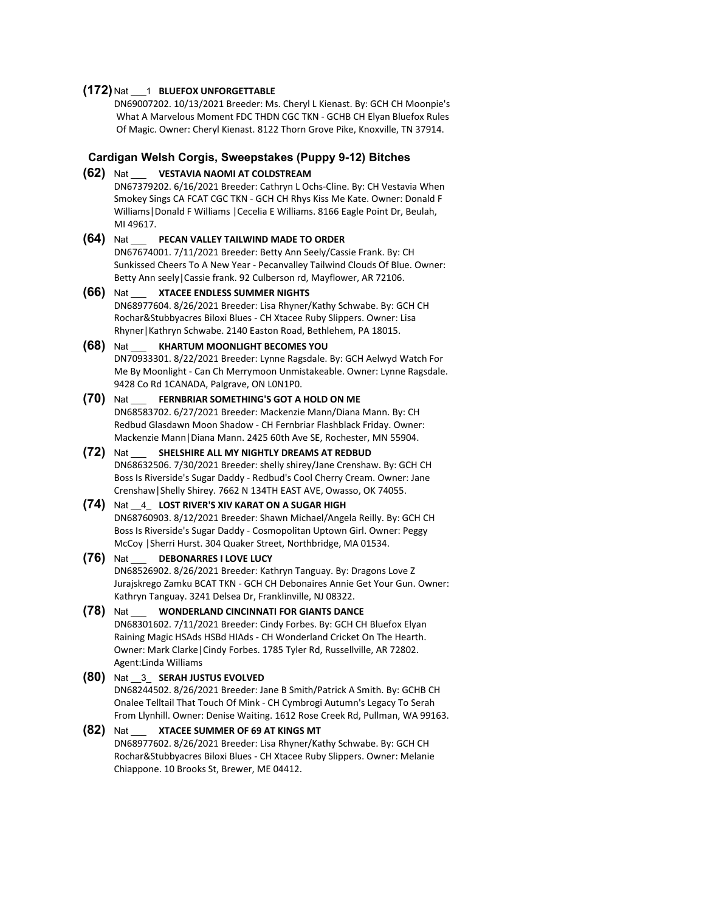#### **(172)** Nat \_\_\_1 **BLUEFOX UNFORGETTABLE**

DN69007202. 10/13/2021 Breeder: Ms. Cheryl L Kienast. By: GCH CH Moonpie's What A Marvelous Moment FDC THDN CGC TKN - GCHB CH Elyan Bluefox Rules Of Magic. Owner: Cheryl Kienast. 8122 Thorn Grove Pike, Knoxville, TN 37914.

## **Cardigan Welsh Corgis, Sweepstakes (Puppy 9-12) Bitches**

**(62)** Nat \_\_\_ **VESTAVIA NAOMI AT COLDSTREAM**

DN67379202. 6/16/2021 Breeder: Cathryn L Ochs-Cline. By: CH Vestavia When Smokey Sings CA FCAT CGC TKN - GCH CH Rhys Kiss Me Kate. Owner: Donald F Williams|Donald F Williams |Cecelia E Williams. 8166 Eagle Point Dr, Beulah, MI 49617.

#### **(64)** Nat \_\_\_ **PECAN VALLEY TAILWIND MADE TO ORDER**

DN67674001. 7/11/2021 Breeder: Betty Ann Seely/Cassie Frank. By: CH Sunkissed Cheers To A New Year - Pecanvalley Tailwind Clouds Of Blue. Owner: Betty Ann seely|Cassie frank. 92 Culberson rd, Mayflower, AR 72106.

**(66)** Nat \_\_\_ **XTACEE ENDLESS SUMMER NIGHTS** DN68977604. 8/26/2021 Breeder: Lisa Rhyner/Kathy Schwabe. By: GCH CH Rochar&Stubbyacres Biloxi Blues - CH Xtacee Ruby Slippers. Owner: Lisa Rhyner|Kathryn Schwabe. 2140 Easton Road, Bethlehem, PA 18015.

# **(68)** Nat \_\_\_ **KHARTUM MOONLIGHT BECOMES YOU**

DN70933301. 8/22/2021 Breeder: Lynne Ragsdale. By: GCH Aelwyd Watch For Me By Moonlight - Can Ch Merrymoon Unmistakeable. Owner: Lynne Ragsdale. 9428 Co Rd 1CANADA, Palgrave, ON L0N1P0.

# **(70)** Nat \_\_\_ **FERNBRIAR SOMETHING'S GOT A HOLD ON ME**

DN68583702. 6/27/2021 Breeder: Mackenzie Mann/Diana Mann. By: CH Redbud Glasdawn Moon Shadow - CH Fernbriar Flashblack Friday. Owner: Mackenzie Mann|Diana Mann. 2425 60th Ave SE, Rochester, MN 55904.

#### **(72)** Nat \_\_\_ **SHELSHIRE ALL MY NIGHTLY DREAMS AT REDBUD**

DN68632506. 7/30/2021 Breeder: shelly shirey/Jane Crenshaw. By: GCH CH Boss Is Riverside's Sugar Daddy - Redbud's Cool Cherry Cream. Owner: Jane Crenshaw|Shelly Shirey. 7662 N 134TH EAST AVE, Owasso, OK 74055.

# **(74)** Nat \_\_4\_ **LOST RIVER'S XIV KARAT ON A SUGAR HIGH**

DN68760903. 8/12/2021 Breeder: Shawn Michael/Angela Reilly. By: GCH CH Boss Is Riverside's Sugar Daddy - Cosmopolitan Uptown Girl. Owner: Peggy McCoy |Sherri Hurst. 304 Quaker Street, Northbridge, MA 01534.

#### **(76)** Nat \_\_\_ **DEBONARRES I LOVE LUCY**

DN68526902. 8/26/2021 Breeder: Kathryn Tanguay. By: Dragons Love Z Jurajskrego Zamku BCAT TKN - GCH CH Debonaires Annie Get Your Gun. Owner: Kathryn Tanguay. 3241 Delsea Dr, Franklinville, NJ 08322.

#### **(78)** Nat \_\_\_ **WONDERLAND CINCINNATI FOR GIANTS DANCE**

DN68301602. 7/11/2021 Breeder: Cindy Forbes. By: GCH CH Bluefox Elyan Raining Magic HSAds HSBd HIAds - CH Wonderland Cricket On The Hearth. Owner: Mark Clarke|Cindy Forbes. 1785 Tyler Rd, Russellville, AR 72802. Agent:Linda Williams

#### **(80)** Nat \_\_3\_ **SERAH JUSTUS EVOLVED**

DN68244502. 8/26/2021 Breeder: Jane B Smith/Patrick A Smith. By: GCHB CH Onalee Telltail That Touch Of Mink - CH Cymbrogi Autumn's Legacy To Serah From Llynhill. Owner: Denise Waiting. 1612 Rose Creek Rd, Pullman, WA 99163.

#### **(82)** Nat \_\_\_ **XTACEE SUMMER OF 69 AT KINGS MT** DN68977602. 8/26/2021 Breeder: Lisa Rhyner/Kathy Schwabe. By: GCH CH Rochar&Stubbyacres Biloxi Blues - CH Xtacee Ruby Slippers. Owner: Melanie Chiappone. 10 Brooks St, Brewer, ME 04412.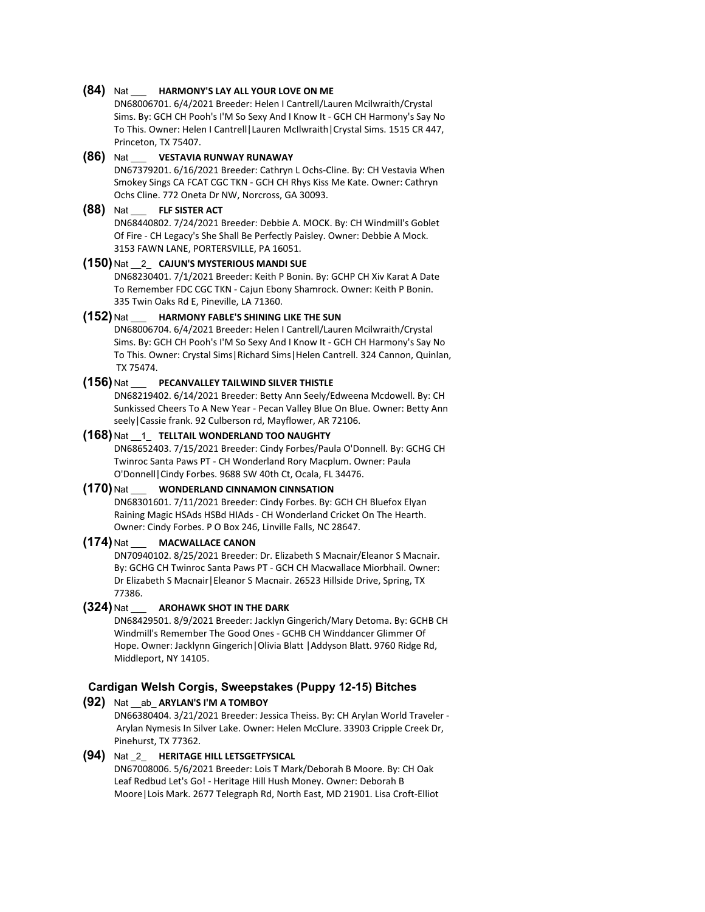#### **(84)** Nat \_\_\_ **HARMONY'S LAY ALL YOUR LOVE ON ME**

DN68006701. 6/4/2021 Breeder: Helen I Cantrell/Lauren Mcilwraith/Crystal Sims. By: GCH CH Pooh's I'M So Sexy And I Know It - GCH CH Harmony's Say No To This. Owner: Helen I Cantrell|Lauren McIlwraith|Crystal Sims. 1515 CR 447, Princeton, TX 75407.

#### **(86)** Nat \_\_\_ **VESTAVIA RUNWAY RUNAWAY**

DN67379201. 6/16/2021 Breeder: Cathryn L Ochs-Cline. By: CH Vestavia When Smokey Sings CA FCAT CGC TKN - GCH CH Rhys Kiss Me Kate. Owner: Cathryn Ochs Cline. 772 Oneta Dr NW, Norcross, GA 30093.

#### **(88)** Nat \_\_\_ **FLF SISTER ACT**

DN68440802. 7/24/2021 Breeder: Debbie A. MOCK. By: CH Windmill's Goblet Of Fire - CH Legacy's She Shall Be Perfectly Paisley. Owner: Debbie A Mock. 3153 FAWN LANE, PORTERSVILLE, PA 16051.

# **(150)** Nat \_\_2\_ **CAJUN'S MYSTERIOUS MANDI SUE**

DN68230401. 7/1/2021 Breeder: Keith P Bonin. By: GCHP CH Xiv Karat A Date To Remember FDC CGC TKN - Cajun Ebony Shamrock. Owner: Keith P Bonin. 335 Twin Oaks Rd E, Pineville, LA 71360.

# **(152)** Nat \_\_\_ **HARMONY FABLE'S SHINING LIKE THE SUN**

DN68006704. 6/4/2021 Breeder: Helen I Cantrell/Lauren Mcilwraith/Crystal Sims. By: GCH CH Pooh's I'M So Sexy And I Know It - GCH CH Harmony's Say No To This. Owner: Crystal Sims|Richard Sims|Helen Cantrell. 324 Cannon, Quinlan, TX 75474.

#### **(156)** Nat \_\_\_ **PECANVALLEY TAILWIND SILVER THISTLE**

DN68219402. 6/14/2021 Breeder: Betty Ann Seely/Edweena Mcdowell. By: CH Sunkissed Cheers To A New Year - Pecan Valley Blue On Blue. Owner: Betty Ann seely|Cassie frank. 92 Culberson rd, Mayflower, AR 72106.

#### **(168)** Nat \_\_1\_ **TELLTAIL WONDERLAND TOO NAUGHTY**

DN68652403. 7/15/2021 Breeder: Cindy Forbes/Paula O'Donnell. By: GCHG CH Twinroc Santa Paws PT - CH Wonderland Rory Macplum. Owner: Paula O'Donnell|Cindy Forbes. 9688 SW 40th Ct, Ocala, FL 34476.

#### **(170)** Nat \_\_\_ **WONDERLAND CINNAMON CINNSATION**

DN68301601. 7/11/2021 Breeder: Cindy Forbes. By: GCH CH Bluefox Elyan Raining Magic HSAds HSBd HIAds - CH Wonderland Cricket On The Hearth. Owner: Cindy Forbes. P O Box 246, Linville Falls, NC 28647.

#### **(174)** Nat \_\_\_ **MACWALLACE CANON**

DN70940102. 8/25/2021 Breeder: Dr. Elizabeth S Macnair/Eleanor S Macnair. By: GCHG CH Twinroc Santa Paws PT - GCH CH Macwallace Miorbhail. Owner: Dr Elizabeth S Macnair|Eleanor S Macnair. 26523 Hillside Drive, Spring, TX 77386.

#### **(324)** Nat \_\_\_ **AROHAWK SHOT IN THE DARK**

DN68429501. 8/9/2021 Breeder: Jacklyn Gingerich/Mary Detoma. By: GCHB CH Windmill's Remember The Good Ones - GCHB CH Winddancer Glimmer Of Hope. Owner: Jacklynn Gingerich|Olivia Blatt |Addyson Blatt. 9760 Ridge Rd, Middleport, NY 14105.

# **Cardigan Welsh Corgis, Sweepstakes (Puppy 12-15) Bitches**

**(92)** Nat \_\_ab\_ **ARYLAN'S I'M A TOMBOY** DN66380404. 3/21/2021 Breeder: Jessica Theiss. By: CH Arylan World Traveler - Arylan Nymesis In Silver Lake. Owner: Helen McClure. 33903 Cripple Creek Dr, Pinehurst, TX 77362.

#### **(94)** Nat \_2\_ **HERITAGE HILL LETSGETFYSICAL** DN67008006. 5/6/2021 Breeder: Lois T Mark/Deborah B Moore. By: CH Oak Leaf Redbud Let's Go! - Heritage Hill Hush Money. Owner: Deborah B Moore|Lois Mark. 2677 Telegraph Rd, North East, MD 21901. Lisa Croft-Elliot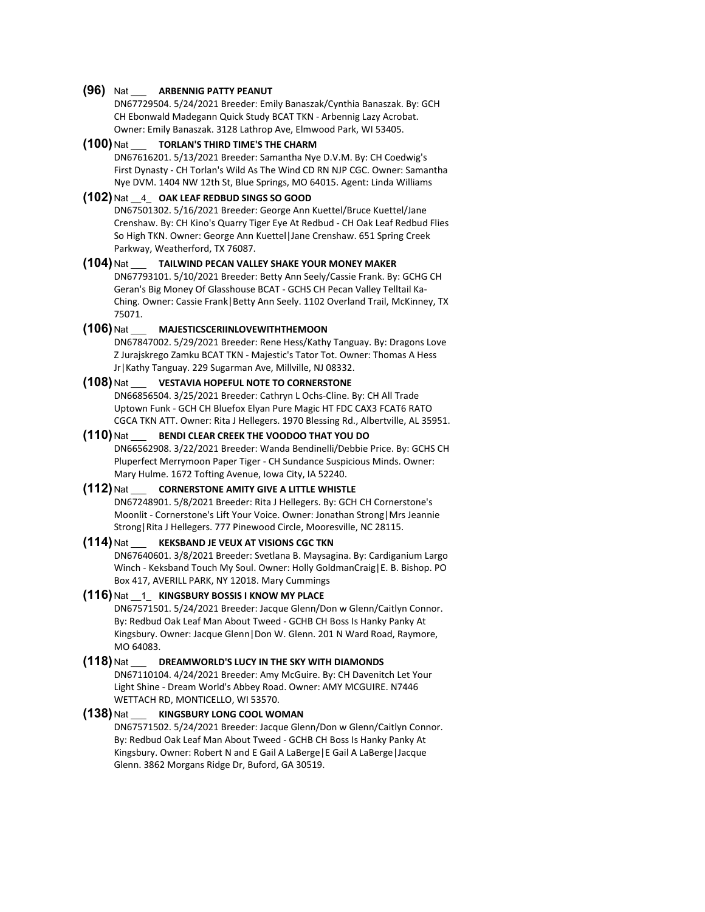#### **(96)** Nat \_\_\_ **ARBENNIG PATTY PEANUT**

DN67729504. 5/24/2021 Breeder: Emily Banaszak/Cynthia Banaszak. By: GCH CH Ebonwald Madegann Quick Study BCAT TKN - Arbennig Lazy Acrobat. Owner: Emily Banaszak. 3128 Lathrop Ave, Elmwood Park, WI 53405.

**(100)** Nat \_\_\_ **TORLAN'S THIRD TIME'S THE CHARM** DN67616201. 5/13/2021 Breeder: Samantha Nye D.V.M. By: CH Coedwig's First Dynasty - CH Torlan's Wild As The Wind CD RN NJP CGC. Owner: Samantha Nye DVM. 1404 NW 12th St, Blue Springs, MO 64015. Agent: Linda Williams

### **(102)** Nat \_\_4\_ **OAK LEAF REDBUD SINGS SO GOOD**

DN67501302. 5/16/2021 Breeder: George Ann Kuettel/Bruce Kuettel/Jane Crenshaw. By: CH Kino's Quarry Tiger Eye At Redbud - CH Oak Leaf Redbud Flies So High TKN. Owner: George Ann Kuettel|Jane Crenshaw. 651 Spring Creek Parkway, Weatherford, TX 76087.

# **(104)** Nat \_\_\_ **TAILWIND PECAN VALLEY SHAKE YOUR MONEY MAKER**

DN67793101. 5/10/2021 Breeder: Betty Ann Seely/Cassie Frank. By: GCHG CH Geran's Big Money Of Glasshouse BCAT - GCHS CH Pecan Valley Telltail Ka-Ching. Owner: Cassie Frank|Betty Ann Seely. 1102 Overland Trail, McKinney, TX 75071.

# **(106)** Nat \_\_\_ **MAJESTICSCERIINLOVEWITHTHEMOON**

DN67847002. 5/29/2021 Breeder: Rene Hess/Kathy Tanguay. By: Dragons Love Z Jurajskrego Zamku BCAT TKN - Majestic's Tator Tot. Owner: Thomas A Hess Jr|Kathy Tanguay. 229 Sugarman Ave, Millville, NJ 08332.

#### **(108)** Nat \_\_\_ **VESTAVIA HOPEFUL NOTE TO CORNERSTONE**

DN66856504. 3/25/2021 Breeder: Cathryn L Ochs-Cline. By: CH All Trade Uptown Funk - GCH CH Bluefox Elyan Pure Magic HT FDC CAX3 FCAT6 RATO CGCA TKN ATT. Owner: Rita J Hellegers. 1970 Blessing Rd., Albertville, AL 35951.

# **(110)** Nat \_\_\_ **BENDI CLEAR CREEK THE VOODOO THAT YOU DO**

DN66562908. 3/22/2021 Breeder: Wanda Bendinelli/Debbie Price. By: GCHS CH Pluperfect Merrymoon Paper Tiger - CH Sundance Suspicious Minds. Owner: Mary Hulme. 1672 Tofting Avenue, Iowa City, IA 52240.

## **(112)** Nat \_\_\_ **CORNERSTONE AMITY GIVE A LITTLE WHISTLE**

DN67248901. 5/8/2021 Breeder: Rita J Hellegers. By: GCH CH Cornerstone's Moonlit - Cornerstone's Lift Your Voice. Owner: Jonathan Strong|Mrs Jeannie Strong|Rita J Hellegers. 777 Pinewood Circle, Mooresville, NC 28115.

#### **(114)** Nat \_\_\_ **KEKSBAND JE VEUX AT VISIONS CGC TKN**

DN67640601. 3/8/2021 Breeder: Svetlana B. Maysagina. By: Cardiganium Largo Winch - Keksband Touch My Soul. Owner: Holly GoldmanCraig|E. B. Bishop. PO Box 417, AVERILL PARK, NY 12018. Mary Cummings

#### **(116)** Nat \_\_1\_ **KINGSBURY BOSSIS I KNOW MY PLACE**

DN67571501. 5/24/2021 Breeder: Jacque Glenn/Don w Glenn/Caitlyn Connor. By: Redbud Oak Leaf Man About Tweed - GCHB CH Boss Is Hanky Panky At Kingsbury. Owner: Jacque Glenn|Don W. Glenn. 201 N Ward Road, Raymore, MO 64083.

#### **(118)** Nat \_\_\_ **DREAMWORLD'S LUCY IN THE SKY WITH DIAMONDS**

DN67110104. 4/24/2021 Breeder: Amy McGuire. By: CH Davenitch Let Your Light Shine - Dream World's Abbey Road. Owner: AMY MCGUIRE. N7446 WETTACH RD, MONTICELLO, WI 53570.

#### **(138)** Nat \_\_\_ **KINGSBURY LONG COOL WOMAN**

DN67571502. 5/24/2021 Breeder: Jacque Glenn/Don w Glenn/Caitlyn Connor. By: Redbud Oak Leaf Man About Tweed - GCHB CH Boss Is Hanky Panky At Kingsbury. Owner: Robert N and E Gail A LaBerge|E Gail A LaBerge|Jacque Glenn. 3862 Morgans Ridge Dr, Buford, GA 30519.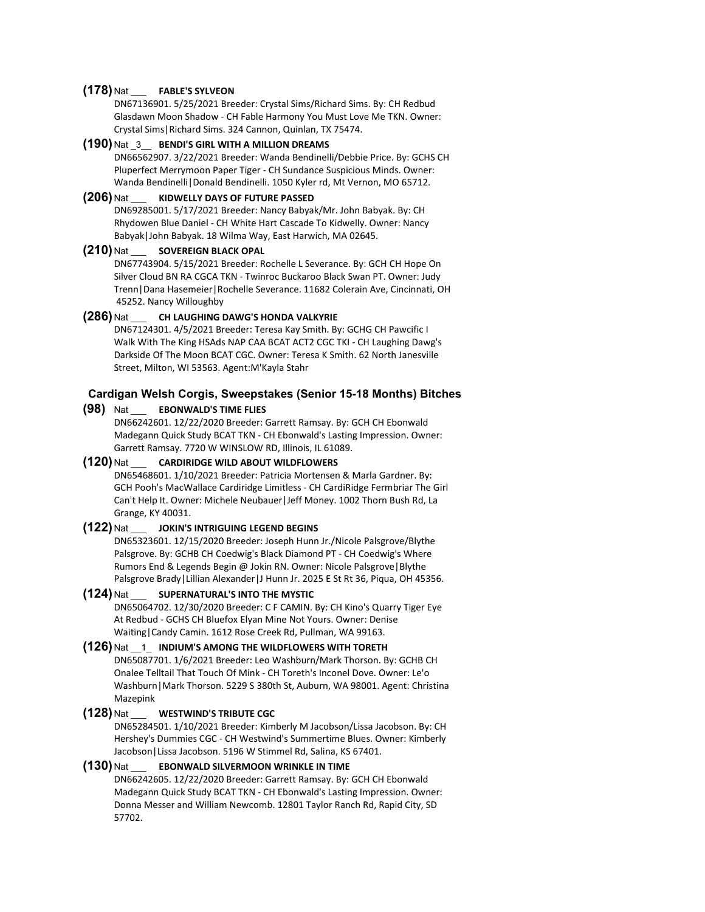#### **(178)** Nat \_\_\_ **FABLE'S SYLVEON**

DN67136901. 5/25/2021 Breeder: Crystal Sims/Richard Sims. By: CH Redbud Glasdawn Moon Shadow - CH Fable Harmony You Must Love Me TKN. Owner: Crystal Sims|Richard Sims. 324 Cannon, Quinlan, TX 75474.

#### **(190)** Nat \_3\_\_ **BENDI'S GIRL WITH A MILLION DREAMS**

DN66562907. 3/22/2021 Breeder: Wanda Bendinelli/Debbie Price. By: GCHS CH Pluperfect Merrymoon Paper Tiger - CH Sundance Suspicious Minds. Owner: Wanda Bendinelli|Donald Bendinelli. 1050 Kyler rd, Mt Vernon, MO 65712.

#### **(206)** Nat \_\_\_ **KIDWELLY DAYS OF FUTURE PASSED**

DN69285001. 5/17/2021 Breeder: Nancy Babyak/Mr. John Babyak. By: CH Rhydowen Blue Daniel - CH White Hart Cascade To Kidwelly. Owner: Nancy Babyak|John Babyak. 18 Wilma Way, East Harwich, MA 02645.

#### **(210)** Nat \_\_\_ **SOVEREIGN BLACK OPAL**

DN67743904. 5/15/2021 Breeder: Rochelle L Severance. By: GCH CH Hope On Silver Cloud BN RA CGCA TKN - Twinroc Buckaroo Black Swan PT. Owner: Judy Trenn|Dana Hasemeier|Rochelle Severance. 11682 Colerain Ave, Cincinnati, OH 45252. Nancy Willoughby

# **(286)** Nat \_\_\_ **CH LAUGHING DAWG'S HONDA VALKYRIE**

DN67124301. 4/5/2021 Breeder: Teresa Kay Smith. By: GCHG CH Pawcific I Walk With The King HSAds NAP CAA BCAT ACT2 CGC TKI - CH Laughing Dawg's Darkside Of The Moon BCAT CGC. Owner: Teresa K Smith. 62 North Janesville Street, Milton, WI 53563. Agent:M'Kayla Stahr

#### **Cardigan Welsh Corgis, Sweepstakes (Senior 15-18 Months) Bitches**

#### **(98)** Nat \_\_\_ **EBONWALD'S TIME FLIES**

DN66242601. 12/22/2020 Breeder: Garrett Ramsay. By: GCH CH Ebonwald Madegann Quick Study BCAT TKN - CH Ebonwald's Lasting Impression. Owner: Garrett Ramsay. 7720 W WINSLOW RD, Illinois, IL 61089.

## **(120)** Nat \_\_\_ **CARDIRIDGE WILD ABOUT WILDFLOWERS**

DN65468601. 1/10/2021 Breeder: Patricia Mortensen & Marla Gardner. By: GCH Pooh's MacWallace Cardiridge Limitless - CH CardiRidge Fermbriar The Girl Can't Help It. Owner: Michele Neubauer|Jeff Money. 1002 Thorn Bush Rd, La Grange, KY 40031.

#### **(122)** Nat \_\_\_ **JOKIN'S INTRIGUING LEGEND BEGINS**

DN65323601. 12/15/2020 Breeder: Joseph Hunn Jr./Nicole Palsgrove/Blythe Palsgrove. By: GCHB CH Coedwig's Black Diamond PT - CH Coedwig's Where Rumors End & Legends Begin @ Jokin RN. Owner: Nicole Palsgrove|Blythe Palsgrove Brady | Lillian Alexander | J Hunn Jr. 2025 E St Rt 36, Piqua, OH 45356.

# **(124)** Nat \_\_\_ **SUPERNATURAL'S INTO THE MYSTIC**

DN65064702. 12/30/2020 Breeder: C F CAMIN. By: CH Kino's Quarry Tiger Eye At Redbud - GCHS CH Bluefox Elyan Mine Not Yours. Owner: Denise Waiting|Candy Camin. 1612 Rose Creek Rd, Pullman, WA 99163.

#### **(126)** Nat \_\_1\_ **INDIUM'S AMONG THE WILDFLOWERS WITH TORETH**

DN65087701. 1/6/2021 Breeder: Leo Washburn/Mark Thorson. By: GCHB CH Onalee Telltail That Touch Of Mink - CH Toreth's Inconel Dove. Owner: Le'o Washburn|Mark Thorson. 5229 S 380th St, Auburn, WA 98001. Agent: Christina Mazepink

#### **(128)** Nat \_\_\_ **WESTWIND'S TRIBUTE CGC**

DN65284501. 1/10/2021 Breeder: Kimberly M Jacobson/Lissa Jacobson. By: CH Hershey's Dummies CGC - CH Westwind's Summertime Blues. Owner: Kimberly Jacobson|Lissa Jacobson. 5196 W Stimmel Rd, Salina, KS 67401.

#### **(130)** Nat \_\_\_ **EBONWALD SILVERMOON WRINKLE IN TIME**

DN66242605. 12/22/2020 Breeder: Garrett Ramsay. By: GCH CH Ebonwald Madegann Quick Study BCAT TKN - CH Ebonwald's Lasting Impression. Owner: Donna Messer and William Newcomb. 12801 Taylor Ranch Rd, Rapid City, SD 57702.